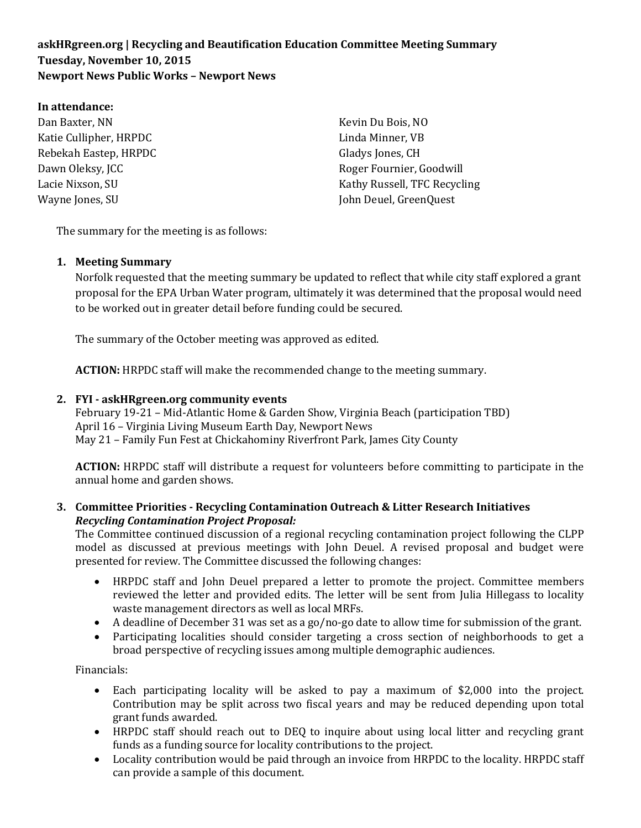# **askHRgreen.org | Recycling and Beautification Education Committee Meeting Summary Tuesday, November 10, 2015 Newport News Public Works – Newport News**

### **In attendance:**

Dan Baxter, NN Katie Cullipher, HRPDC Rebekah Eastep, HRPDC Dawn Oleksy, JCC Lacie Nixson, SU Wayne Jones, SU

Kevin Du Bois, NO Linda Minner, VB Gladys Jones, CH Roger Fournier, Goodwill Kathy Russell, TFC Recycling John Deuel, GreenQuest

The summary for the meeting is as follows:

## **1. Meeting Summary**

Norfolk requested that the meeting summary be updated to reflect that while city staff explored a grant proposal for the EPA Urban Water program, ultimately it was determined that the proposal would need to be worked out in greater detail before funding could be secured.

The summary of the October meeting was approved as edited.

**ACTION:** HRPDC staff will make the recommended change to the meeting summary.

## **2. FYI - askHRgreen.org community events**

February 19-21 – Mid-Atlantic Home & Garden Show, Virginia Beach (participation TBD) April 16 – Virginia Living Museum Earth Day, Newport News May 21 – Family Fun Fest at Chickahominy Riverfront Park, James City County

**ACTION:** HRPDC staff will distribute a request for volunteers before committing to participate in the annual home and garden shows.

### **3. Committee Priorities - Recycling Contamination Outreach & Litter Research Initiatives** *Recycling Contamination Project Proposal:*

The Committee continued discussion of a regional recycling contamination project following the CLPP model as discussed at previous meetings with John Deuel. A revised proposal and budget were presented for review. The Committee discussed the following changes:

- HRPDC staff and John Deuel prepared a letter to promote the project. Committee members reviewed the letter and provided edits. The letter will be sent from Julia Hillegass to locality waste management directors as well as local MRFs.
- A deadline of December 31 was set as a go/no-go date to allow time for submission of the grant.
- Participating localities should consider targeting a cross section of neighborhoods to get a broad perspective of recycling issues among multiple demographic audiences.

Financials:

- Each participating locality will be asked to pay a maximum of \$2,000 into the project. Contribution may be split across two fiscal years and may be reduced depending upon total grant funds awarded.
- HRPDC staff should reach out to DEQ to inquire about using local litter and recycling grant funds as a funding source for locality contributions to the project.
- Locality contribution would be paid through an invoice from HRPDC to the locality. HRPDC staff can provide a sample of this document.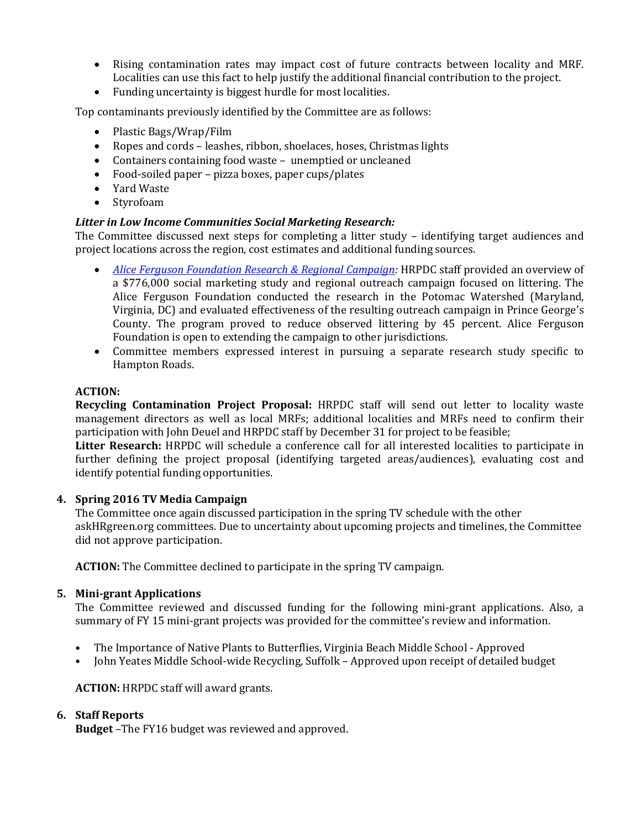- Rising contamination rates may impact cost of future contracts between locality and MRF. Localities can use this fact to help justify the additional financial contribution to the project.
- Funding uncertainty is biggest hurdle for most localities.

Top contaminants previously identified by the Committee are as follows:

- Plastic Bags/Wrap/Film
- Ropes and cords leashes, ribbon, shoelaces, hoses, Christmas lights
- Containers containing food waste unemptied or uncleaned
- Food-soiled paper pizza boxes, paper cups/plates
- Yard Waste
- Styrofoam

#### *Litter in Low Income Communities Social Marketing Research:*

The Committee discussed next steps for completing a litter study – identifying target audiences and project locations across the region, cost estimates and additional funding sources.

- *[Alice Ferguson Foundation Research & Regional Campaign:](http://fergusonfoundation.org/trash-free-potomac-watershed-initiative/education/litter-prevention/)* HRPDC staff provided an overview of a \$776,000 social marketing study and regional outreach campaign focused on littering. The Alice Ferguson Foundation conducted the research in the Potomac Watershed (Maryland, Virginia, DC) and evaluated effectiveness of the resulting outreach campaign in Prince George's County. The program proved to reduce observed littering by 45 percent. Alice Ferguson Foundation is open to extending the campaign to other jurisdictions.
- Committee members expressed interest in pursuing a separate research study specific to Hampton Roads.

#### **ACTION:**

**Recycling Contamination Project Proposal:** HRPDC staff will send out letter to locality waste management directors as well as local MRFs; additional localities and MRFs need to confirm their participation with John Deuel and HRPDC staff by December 31 for project to be feasible;

**Litter Research:** HRPDC will schedule a conference call for all interested localities to participate in further defining the project proposal (identifying targeted areas/audiences), evaluating cost and identify potential funding opportunities.

#### **4. Spring 2016 TV Media Campaign**

The Committee once again discussed participation in the spring TV schedule with the other askHRgreen.org committees. Due to uncertainty about upcoming projects and timelines, the Committee did not approve participation.

**ACTION:** The Committee declined to participate in the spring TV campaign.

### **5. Mini-grant Applications**

The Committee reviewed and discussed funding for the following mini-grant applications. Also, a summary of FY 15 mini-grant projects was provided for the committee's review and information.

- The Importance of Native Plants to Butterflies, Virginia Beach Middle School Approved
- John Yeates Middle School-wide Recycling, Suffolk Approved upon receipt of detailed budget

#### **ACTION:** HRPDC staff will award grants.

### **6. Staff Reports**

**Budget** –The FY16 budget was reviewed and approved.